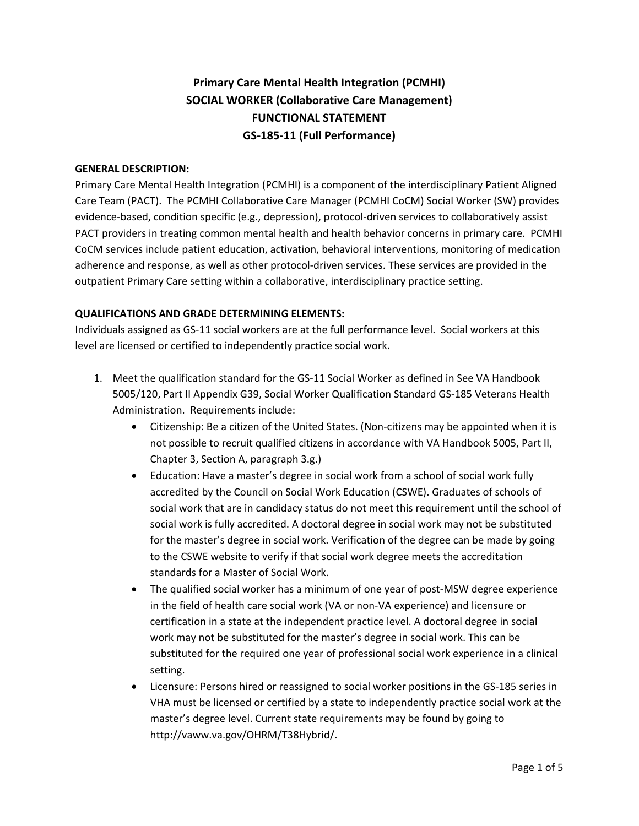# **Primary Care Mental Health Integration (PCMHI) SOCIAL WORKER (Collaborative Care Management) FUNCTIONAL STATEMENT GS-185-11 (Full Performance)**

## **GENERAL DESCRIPTION:**

Primary Care Mental Health Integration (PCMHI) is a component of the interdisciplinary Patient Aligned Care Team (PACT). The PCMHI Collaborative Care Manager (PCMHI CoCM) Social Worker (SW) provides evidence-based, condition specific (e.g., depression), protocol-driven services to collaboratively assist PACT providers in treating common mental health and health behavior concerns in primary care. PCMHI CoCM services include patient education, activation, behavioral interventions, monitoring of medication adherence and response, as well as other protocol-driven services. These services are provided in the outpatient Primary Care setting within a collaborative, interdisciplinary practice setting.

#### **QUALIFICATIONS AND GRADE DETERMINING ELEMENTS:**

Individuals assigned as GS-11 social workers are at the full performance level. Social workers at this level are licensed or certified to independently practice social work.

- 1. Meet the qualification standard for the GS-11 Social Worker as defined in See VA Handbook 5005/120, Part II Appendix G39, Social Worker Qualification Standard GS-185 Veterans Health Administration. Requirements include:
	- Citizenship: Be a citizen of the United States. (Non-citizens may be appointed when it is not possible to recruit qualified citizens in accordance with VA Handbook 5005, Part II, Chapter 3, Section A, paragraph 3.g.)
	- Education: Have a master's degree in social work from a school of social work fully accredited by the Council on Social Work Education (CSWE). Graduates of schools of social work that are in candidacy status do not meet this requirement until the school of social work is fully accredited. A doctoral degree in social work may not be substituted for the master's degree in social work. Verification of the degree can be made by going to the CSWE website to verify if that social work degree meets the accreditation standards for a Master of Social Work.
	- The qualified social worker has a minimum of one year of post-MSW degree experience in the field of health care social work (VA or non-VA experience) and licensure or certification in a state at the independent practice level. A doctoral degree in social work may not be substituted for the master's degree in social work. This can be substituted for the required one year of professional social work experience in a clinical setting.
	- Licensure: Persons hired or reassigned to social worker positions in the GS-185 series in VHA must be licensed or certified by a state to independently practice social work at the master's degree level. Current state requirements may be found by going to http://vaww.va.gov/OHRM/T38Hybrid/.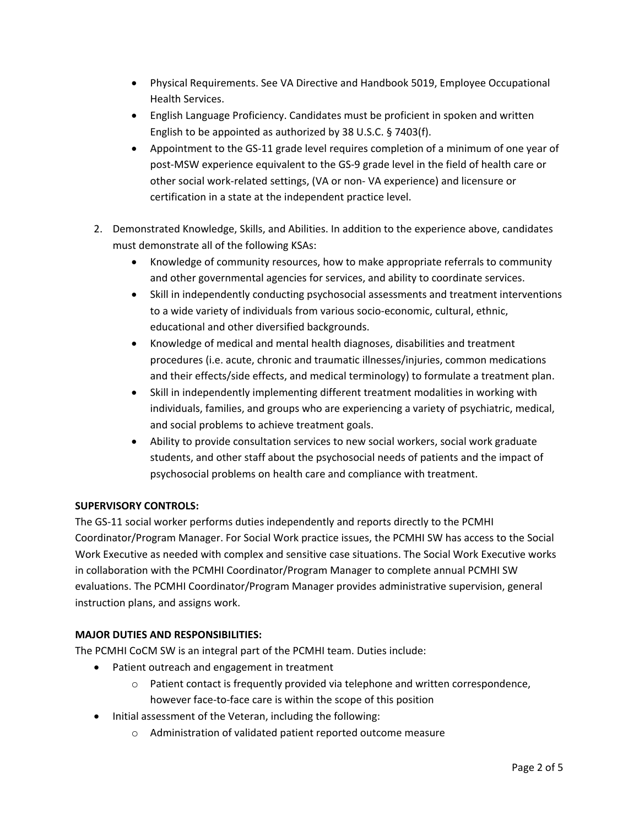- Physical Requirements. See VA Directive and Handbook 5019, Employee Occupational Health Services.
- English Language Proficiency. Candidates must be proficient in spoken and written English to be appointed as authorized by 38 U.S.C. § 7403(f).
- Appointment to the GS-11 grade level requires completion of a minimum of one year of post-MSW experience equivalent to the GS-9 grade level in the field of health care or other social work-related settings, (VA or non- VA experience) and licensure or certification in a state at the independent practice level.
- 2. Demonstrated Knowledge, Skills, and Abilities. In addition to the experience above, candidates must demonstrate all of the following KSAs:
	- Knowledge of community resources, how to make appropriate referrals to community and other governmental agencies for services, and ability to coordinate services.
	- Skill in independently conducting psychosocial assessments and treatment interventions to a wide variety of individuals from various socio-economic, cultural, ethnic, educational and other diversified backgrounds.
	- Knowledge of medical and mental health diagnoses, disabilities and treatment procedures (i.e. acute, chronic and traumatic illnesses/injuries, common medications and their effects/side effects, and medical terminology) to formulate a treatment plan.
	- Skill in independently implementing different treatment modalities in working with individuals, families, and groups who are experiencing a variety of psychiatric, medical, and social problems to achieve treatment goals.
	- Ability to provide consultation services to new social workers, social work graduate students, and other staff about the psychosocial needs of patients and the impact of psychosocial problems on health care and compliance with treatment.

# **SUPERVISORY CONTROLS:**

The GS-11 social worker performs duties independently and reports directly to the PCMHI Coordinator/Program Manager. For Social Work practice issues, the PCMHI SW has access to the Social Work Executive as needed with complex and sensitive case situations. The Social Work Executive works in collaboration with the PCMHI Coordinator/Program Manager to complete annual PCMHI SW evaluations. The PCMHI Coordinator/Program Manager provides administrative supervision, general instruction plans, and assigns work.

# **MAJOR DUTIES AND RESPONSIBILITIES:**

The PCMHI CoCM SW is an integral part of the PCMHI team. Duties include:

- Patient outreach and engagement in treatment
	- $\circ$  Patient contact is frequently provided via telephone and written correspondence, however face-to-face care is within the scope of this position
- Initial assessment of the Veteran, including the following:
	- o Administration of validated patient reported outcome measure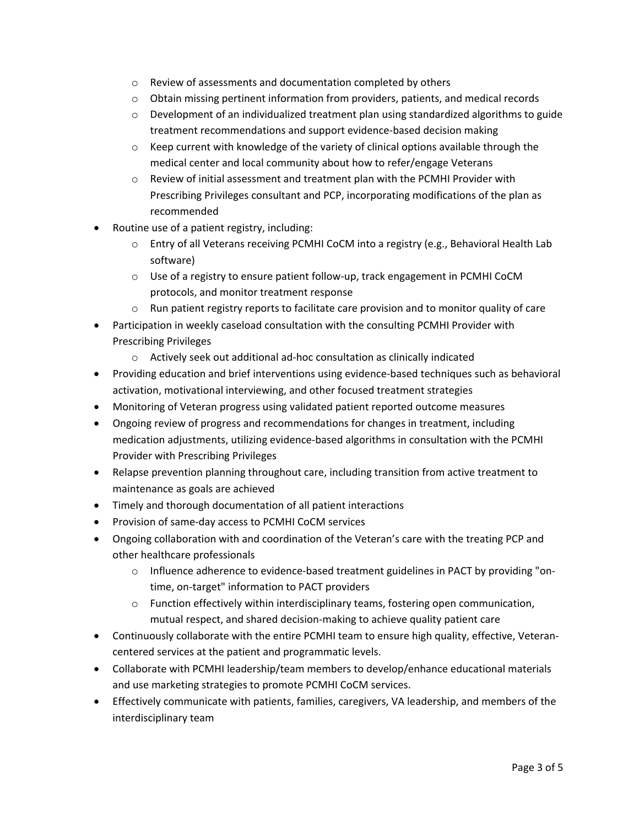- o Review of assessments and documentation completed by others
- $\circ$  Obtain missing pertinent information from providers, patients, and medical records
- $\circ$  Development of an individualized treatment plan using standardized algorithms to guide treatment recommendations and support evidence-based decision making
- o Keep current with knowledge of the variety of clinical options available through the medical center and local community about how to refer/engage Veterans
- $\circ$  Review of initial assessment and treatment plan with the PCMHI Provider with Prescribing Privileges consultant and PCP, incorporating modifications of the plan as recommended
- Routine use of a patient registry, including:
	- o Entry of all Veterans receiving PCMHI CoCM into a registry (e.g., Behavioral Health Lab software)
	- o Use of a registry to ensure patient follow-up, track engagement in PCMHI CoCM protocols, and monitor treatment response
	- $\circ$  Run patient registry reports to facilitate care provision and to monitor quality of care
- Participation in weekly caseload consultation with the consulting PCMHI Provider with Prescribing Privileges
	- o Actively seek out additional ad-hoc consultation as clinically indicated
- Providing education and brief interventions using evidence-based techniques such as behavioral activation, motivational interviewing, and other focused treatment strategies
- Monitoring of Veteran progress using validated patient reported outcome measures
- Ongoing review of progress and recommendations for changes in treatment, including medication adjustments, utilizing evidence-based algorithms in consultation with the PCMHI Provider with Prescribing Privileges
- Relapse prevention planning throughout care, including transition from active treatment to maintenance as goals are achieved
- Timely and thorough documentation of all patient interactions
- Provision of same-day access to PCMHI CoCM services
- Ongoing collaboration with and coordination of the Veteran's care with the treating PCP and other healthcare professionals
	- o Influence adherence to evidence-based treatment guidelines in PACT by providing "ontime, on-target" information to PACT providers
	- $\circ$  Function effectively within interdisciplinary teams, fostering open communication, mutual respect, and shared decision-making to achieve quality patient care
- Continuously collaborate with the entire PCMHI team to ensure high quality, effective, Veterancentered services at the patient and programmatic levels.
- Collaborate with PCMHI leadership/team members to develop/enhance educational materials and use marketing strategies to promote PCMHI CoCM services.
- Effectively communicate with patients, families, caregivers, VA leadership, and members of the interdisciplinary team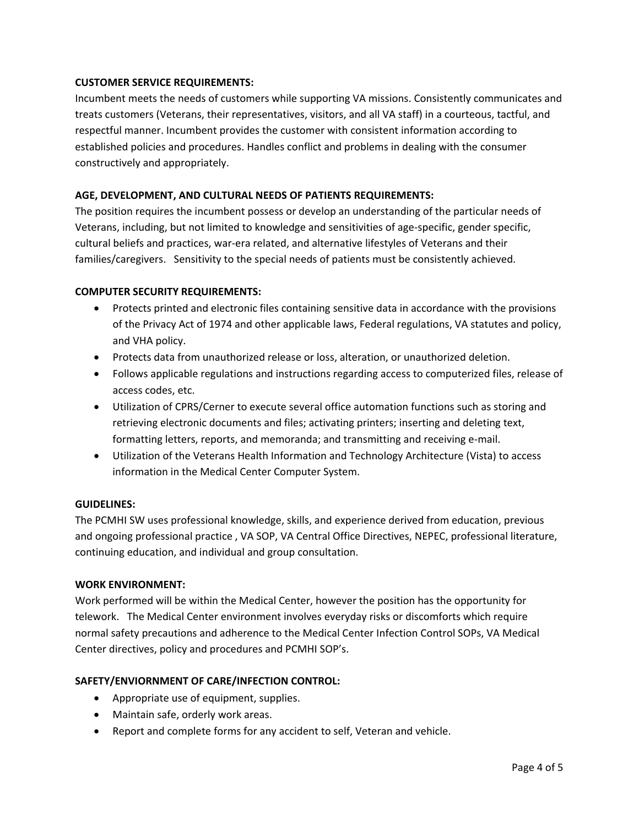## **CUSTOMER SERVICE REQUIREMENTS:**

Incumbent meets the needs of customers while supporting VA missions. Consistently communicates and treats customers (Veterans, their representatives, visitors, and all VA staff) in a courteous, tactful, and respectful manner. Incumbent provides the customer with consistent information according to established policies and procedures. Handles conflict and problems in dealing with the consumer constructively and appropriately.

## **AGE, DEVELOPMENT, AND CULTURAL NEEDS OF PATIENTS REQUIREMENTS:**

The position requires the incumbent possess or develop an understanding of the particular needs of Veterans, including, but not limited to knowledge and sensitivities of age-specific, gender specific, cultural beliefs and practices, war-era related, and alternative lifestyles of Veterans and their families/caregivers. Sensitivity to the special needs of patients must be consistently achieved.

## **COMPUTER SECURITY REQUIREMENTS:**

- Protects printed and electronic files containing sensitive data in accordance with the provisions of the Privacy Act of 1974 and other applicable laws, Federal regulations, VA statutes and policy, and VHA policy.
- Protects data from unauthorized release or loss, alteration, or unauthorized deletion.
- Follows applicable regulations and instructions regarding access to computerized files, release of access codes, etc.
- Utilization of CPRS/Cerner to execute several office automation functions such as storing and retrieving electronic documents and files; activating printers; inserting and deleting text, formatting letters, reports, and memoranda; and transmitting and receiving e-mail.
- Utilization of the Veterans Health Information and Technology Architecture (Vista) to access information in the Medical Center Computer System.

## **GUIDELINES:**

The PCMHI SW uses professional knowledge, skills, and experience derived from education, previous and ongoing professional practice , VA SOP, VA Central Office Directives, NEPEC, professional literature, continuing education, and individual and group consultation.

## **WORK ENVIRONMENT:**

Work performed will be within the Medical Center, however the position has the opportunity for telework. The Medical Center environment involves everyday risks or discomforts which require normal safety precautions and adherence to the Medical Center Infection Control SOPs, VA Medical Center directives, policy and procedures and PCMHI SOP's.

## **SAFETY/ENVIORNMENT OF CARE/INFECTION CONTROL:**

- Appropriate use of equipment, supplies.
- Maintain safe, orderly work areas.
- Report and complete forms for any accident to self, Veteran and vehicle.